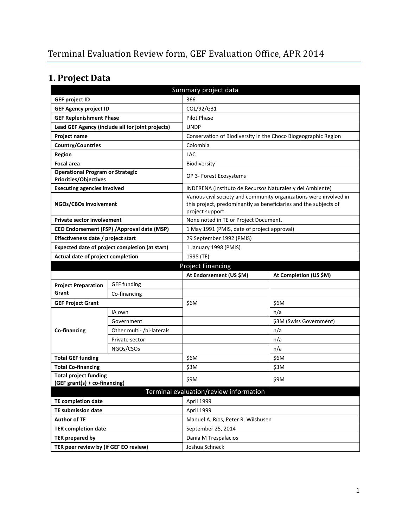# **1. Project Data**

| Summary project data                                                    |                                                  |                                                                                      |                                                                    |  |
|-------------------------------------------------------------------------|--------------------------------------------------|--------------------------------------------------------------------------------------|--------------------------------------------------------------------|--|
| <b>GEF project ID</b>                                                   |                                                  | 366                                                                                  |                                                                    |  |
| <b>GEF Agency project ID</b>                                            |                                                  | COL/92/G31                                                                           |                                                                    |  |
| <b>GEF Replenishment Phase</b>                                          |                                                  | <b>Pilot Phase</b>                                                                   |                                                                    |  |
|                                                                         | Lead GEF Agency (include all for joint projects) | <b>UNDP</b>                                                                          |                                                                    |  |
| Project name                                                            |                                                  | Conservation of Biodiversity in the Choco Biogeographic Region                       |                                                                    |  |
| <b>Country/Countries</b>                                                |                                                  | Colombia                                                                             |                                                                    |  |
| <b>Region</b>                                                           |                                                  | <b>LAC</b>                                                                           |                                                                    |  |
| <b>Focal area</b>                                                       |                                                  | Biodiversity                                                                         |                                                                    |  |
| <b>Operational Program or Strategic</b><br><b>Priorities/Objectives</b> |                                                  | OP 3- Forest Ecosystems                                                              |                                                                    |  |
| <b>Executing agencies involved</b>                                      |                                                  | INDERENA (Instituto de Recursos Naturales y del Ambiente)                            |                                                                    |  |
| NGOs/CBOs involvement                                                   |                                                  | this project, predominantly as beneficiaries and the subjects of<br>project support. | Various civil society and community organizations were involved in |  |
| <b>Private sector involvement</b>                                       |                                                  | None noted in TE or Project Document.                                                |                                                                    |  |
|                                                                         | CEO Endorsement (FSP) / Approval date (MSP)      | 1 May 1991 (PMIS, date of project approval)                                          |                                                                    |  |
| Effectiveness date / project start                                      |                                                  | 29 September 1992 (PMIS)                                                             |                                                                    |  |
|                                                                         | Expected date of project completion (at start)   | 1 January 1998 (PMIS)                                                                |                                                                    |  |
| Actual date of project completion                                       |                                                  | 1998 (TE)                                                                            |                                                                    |  |
|                                                                         |                                                  | <b>Project Financing</b>                                                             |                                                                    |  |
|                                                                         |                                                  |                                                                                      |                                                                    |  |
|                                                                         |                                                  | At Endorsement (US \$M)                                                              | At Completion (US \$M)                                             |  |
| <b>Project Preparation</b>                                              | <b>GEF</b> funding                               |                                                                                      |                                                                    |  |
| Grant                                                                   | Co-financing                                     |                                                                                      |                                                                    |  |
| <b>GEF Project Grant</b>                                                |                                                  | \$6M                                                                                 | \$6M                                                               |  |
|                                                                         | IA own                                           |                                                                                      | n/a                                                                |  |
|                                                                         | Government                                       |                                                                                      | \$3M (Swiss Government)                                            |  |
| Co-financing                                                            | Other multi- /bi-laterals                        |                                                                                      | n/a                                                                |  |
|                                                                         | Private sector                                   |                                                                                      | n/a                                                                |  |
|                                                                         | NGOs/CSOs                                        |                                                                                      | n/a                                                                |  |
| <b>Total GEF funding</b>                                                |                                                  | \$6M                                                                                 | \$6M                                                               |  |
| <b>Total Co-financing</b>                                               |                                                  | \$3M                                                                                 | \$3M                                                               |  |
| <b>Total project funding</b>                                            |                                                  | \$9M                                                                                 |                                                                    |  |
| (GEF grant(s) + co-financing)                                           |                                                  |                                                                                      | \$9M                                                               |  |
|                                                                         |                                                  | Terminal evaluation/review information                                               |                                                                    |  |
| <b>TE completion date</b>                                               |                                                  | April 1999                                                                           |                                                                    |  |
| <b>TE submission date</b>                                               |                                                  | April 1999                                                                           |                                                                    |  |
| <b>Author of TE</b>                                                     |                                                  | Manuel A. Ríos, Peter R. Wilshusen                                                   |                                                                    |  |
| <b>TER completion date</b>                                              |                                                  | September 25, 2014                                                                   |                                                                    |  |
| TER prepared by<br>TER peer review by (if GEF EO review)                |                                                  | Dania M Trespalacios<br>Joshua Schneck                                               |                                                                    |  |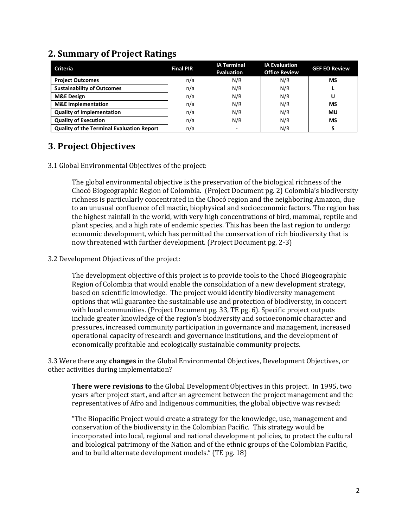| <b>Criteria</b>                                  | <b>Final PIR</b> | <b>IA Terminal</b><br><b>Evaluation</b> | <b>IA Evaluation</b><br><b>Office Review</b> | <b>GEF EO Review</b> |
|--------------------------------------------------|------------------|-----------------------------------------|----------------------------------------------|----------------------|
| <b>Project Outcomes</b>                          | n/a              | N/R                                     | N/R                                          | MS                   |
| <b>Sustainability of Outcomes</b>                | n/a              | N/R                                     | N/R                                          |                      |
| <b>M&amp;E Design</b>                            | n/a              | N/R                                     | N/R                                          |                      |
| <b>M&amp;E</b> Implementation                    | n/a              | N/R                                     | N/R                                          | <b>MS</b>            |
| <b>Quality of Implementation</b>                 | n/a              | N/R                                     | N/R                                          | MU                   |
| <b>Quality of Execution</b>                      | n/a              | N/R                                     | N/R                                          | MS                   |
| <b>Quality of the Terminal Evaluation Report</b> | n/a              |                                         | N/R                                          |                      |

## **2. Summary of Project Ratings**

## **3. Project Objectives**

3.1 Global Environmental Objectives of the project:

The global environmental objective is the preservation of the biological richness of the Chocó Biogeographic Region of Colombia. (Project Document pg. 2) Colombia's biodiversity richness is particularly concentrated in the Chocó region and the neighboring Amazon, due to an unusual confluence of climactic, biophysical and socioeconomic factors. The region has the highest rainfall in the world, with very high concentrations of bird, mammal, reptile and plant species, and a high rate of endemic species. This has been the last region to undergo economic development, which has permitted the conservation of rich biodiversity that is now threatened with further development. (Project Document pg. 2-3)

#### 3.2 Development Objectives of the project:

The development objective of this project is to provide tools to the Chocó Biogeographic Region of Colombia that would enable the consolidation of a new development strategy, based on scientific knowledge. The project would identify biodiversity management options that will guarantee the sustainable use and protection of biodiversity, in concert with local communities. (Project Document pg. 33, TE pg. 6). Specific project outputs include greater knowledge of the region's biodiversity and socioeconomic character and pressures, increased community participation in governance and management, increased operational capacity of research and governance institutions, and the development of economically profitable and ecologically sustainable community projects.

3.3 Were there any **changes** in the Global Environmental Objectives, Development Objectives, or other activities during implementation?

**There were revisions to** the Global Development Objectives in this project. In 1995, two years after project start, and after an agreement between the project management and the representatives of Afro and Indigenous communities, the global objective was revised:

"The Biopacific Project would create a strategy for the knowledge, use, management and conservation of the biodiversity in the Colombian Pacific. This strategy would be incorporated into local, regional and national development policies, to protect the cultural and biological patrimony of the Nation and of the ethnic groups of the Colombian Pacific, and to build alternate development models." (TE pg. 18)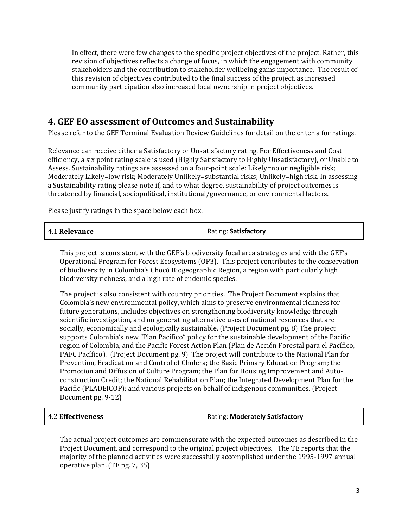In effect, there were few changes to the specific project objectives of the project. Rather, this revision of objectives reflects a change of focus, in which the engagement with community stakeholders and the contribution to stakeholder wellbeing gains importance. The result of this revision of objectives contributed to the final success of the project, as increased community participation also increased local ownership in project objectives.

# **4. GEF EO assessment of Outcomes and Sustainability**

Please refer to the GEF Terminal Evaluation Review Guidelines for detail on the criteria for ratings.

Relevance can receive either a Satisfactory or Unsatisfactory rating. For Effectiveness and Cost efficiency, a six point rating scale is used (Highly Satisfactory to Highly Unsatisfactory), or Unable to Assess. Sustainability ratings are assessed on a four-point scale: Likely=no or negligible risk; Moderately Likely=low risk; Moderately Unlikely=substantial risks; Unlikely=high risk. In assessing a Sustainability rating please note if, and to what degree, sustainability of project outcomes is threatened by financial, sociopolitical, institutional/governance, or environmental factors.

Please justify ratings in the space below each box.

| 4.1 Relevance | Rating: Satisfactory |
|---------------|----------------------|
|---------------|----------------------|

This project is consistent with the GEF's biodiversity focal area strategies and with the GEF's Operational Program for Forest Ecosystems (OP3). This project contributes to the conservation of biodiversity in Colombia's Chocó Biogeographic Region, a region with particularly high biodiversity richness, and a high rate of endemic species.

The project is also consistent with country priorities. The Project Document explains that Colombia's new environmental policy, which aims to preserve environmental richness for future generations, includes objectives on strengthening biodiversity knowledge through scientific investigation, and on generating alternative uses of national resources that are socially, economically and ecologically sustainable. (Project Document pg. 8) The project supports Colombia's new "Plan Pacífico" policy for the sustainable development of the Pacific region of Colombia, and the Pacific Forest Action Plan (Plan de Acción Forestal para el Pacífico, PAFC Pacífico). (Project Document pg. 9) The project will contribute to the National Plan for Prevention, Eradication and Control of Cholera; the Basic Primary Education Program; the Promotion and Diffusion of Culture Program; the Plan for Housing Improvement and Autoconstruction Credit; the National Rehabilitation Plan; the Integrated Development Plan for the Pacific (PLADEICOP); and various projects on behalf of indigenous communities. (Project Document pg. 9-12)

| 4.2 Effectiveness | Rating: Moderately Satisfactory |
|-------------------|---------------------------------|
|                   |                                 |

The actual project outcomes are commensurate with the expected outcomes as described in the Project Document, and correspond to the original project objectives. The TE reports that the majority of the planned activities were successfully accomplished under the 1995-1997 annual operative plan. (TE pg. 7, 35)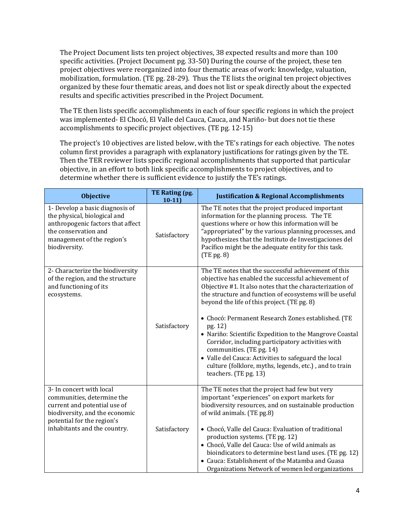The Project Document lists ten project objectives, 38 expected results and more than 100 specific activities. (Project Document pg. 33-50) During the course of the project, these ten project objectives were reorganized into four thematic areas of work: knowledge, valuation, mobilization, formulation. (TE pg. 28-29). Thus the TE lists the original ten project objectives organized by these four thematic areas, and does not list or speak directly about the expected results and specific activities prescribed in the Project Document.

The TE then lists specific accomplishments in each of four specific regions in which the project was implemented- El Chocó, El Valle del Cauca, Cauca, and Nariño- but does not tie these accomplishments to specific project objectives. (TE pg. 12-15)

The project's 10 objectives are listed below, with the TE's ratings for each objective. The notes column first provides a paragraph with explanatory justifications for ratings given by the TE. Then the TER reviewer lists specific regional accomplishments that supported that particular objective, in an effort to both link specific accomplishments to project objectives, and to determine whether there is sufficient evidence to justify the TE's ratings.

| <b>Objective</b>                                                                                                                                                                       | TE Rating (pg.<br>$10-11$ | <b>Justification &amp; Regional Accomplishments</b>                                                                                                                                                                                                                                                                                                                                                                                                                                                                                                                                                                                       |
|----------------------------------------------------------------------------------------------------------------------------------------------------------------------------------------|---------------------------|-------------------------------------------------------------------------------------------------------------------------------------------------------------------------------------------------------------------------------------------------------------------------------------------------------------------------------------------------------------------------------------------------------------------------------------------------------------------------------------------------------------------------------------------------------------------------------------------------------------------------------------------|
| 1- Develop a basic diagnosis of<br>the physical, biological and<br>anthropogenic factors that affect<br>the conservation and<br>management of the region's<br>biodiversity.            | Satisfactory              | The TE notes that the project produced important<br>information for the planning process. The TE<br>questions where or how this information will be<br>"appropriated" by the various planning processes, and<br>hypothesizes that the Instituto de Investigaciones del<br>Pacífico might be the adequate entity for this task.<br>$(TE \text{pg. } 8)$                                                                                                                                                                                                                                                                                    |
| 2- Characterize the biodiversity<br>of the region, and the structure<br>and functioning of its<br>ecosystems.                                                                          | Satisfactory              | The TE notes that the successful achievement of this<br>objective has enabled the successful achievement of<br>Objective #1. It also notes that the characterization of<br>the structure and function of ecosystems will be useful<br>beyond the life of this project. (TE pg. 8)<br>• Chocó: Permanent Research Zones established. (TE<br>pg. 12)<br>• Nariño: Scientific Expedition to the Mangrove Coastal<br>Corridor, including participatory activities with<br>communities. (TE pg. 14)<br>• Valle del Cauca: Activities to safeguard the local<br>culture (folklore, myths, legends, etc.), and to train<br>teachers. (TE pg. 13) |
| 3- In concert with local<br>communities, determine the<br>current and potential use of<br>biodiversity, and the economic<br>potential for the region's<br>inhabitants and the country. | Satisfactory              | The TE notes that the project had few but very<br>important "experiences" on export markets for<br>biodiversity resources, and on sustainable production<br>of wild animals. (TE pg.8)<br>• Chocó, Valle del Cauca: Evaluation of traditional<br>production systems. (TE pg. 12)<br>• Chocó, Valle del Cauca: Use of wild animals as<br>bioindicators to determine best land uses. (TE pg. 12)<br>• Cauca: Establishment of the Matamba and Guasa<br>Organizations Network of women led organizations                                                                                                                                     |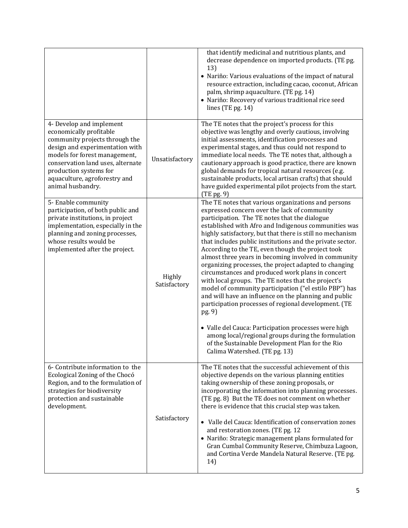|                                                                                                                                                                                                                                                                                |                        | that identify medicinal and nutritious plants, and<br>decrease dependence on imported products. (TE pg.<br>13)<br>• Nariño: Various evaluations of the impact of natural<br>resource extraction, including cacao, coconut, African<br>palm, shrimp aquaculture. (TE pg. 14)<br>· Nariño: Recovery of various traditional rice seed<br>lines (TE pg. 14)                                                                                                                                                                                                                                                                                                                                                                                                                                                                                                                                                                                                                                                       |
|--------------------------------------------------------------------------------------------------------------------------------------------------------------------------------------------------------------------------------------------------------------------------------|------------------------|---------------------------------------------------------------------------------------------------------------------------------------------------------------------------------------------------------------------------------------------------------------------------------------------------------------------------------------------------------------------------------------------------------------------------------------------------------------------------------------------------------------------------------------------------------------------------------------------------------------------------------------------------------------------------------------------------------------------------------------------------------------------------------------------------------------------------------------------------------------------------------------------------------------------------------------------------------------------------------------------------------------|
| 4- Develop and implement<br>economically profitable<br>community projects through the<br>design and experimentation with<br>models for forest management,<br>conservation land uses, alternate<br>production systems for<br>aquaculture, agroforestry and<br>animal husbandry. | Unsatisfactory         | The TE notes that the project's process for this<br>objective was lengthy and overly cautious, involving<br>initial assessments, identification processes and<br>experimental stages, and thus could not respond to<br>immediate local needs. The TE notes that, although a<br>cautionary approach is good practice, there are known<br>global demands for tropical natural resources (e.g.<br>sustainable products, local artisan crafts) that should<br>have guided experimental pilot projects from the start.<br>$(TE \text{pg. } 9)$                                                                                                                                                                                                                                                                                                                                                                                                                                                                     |
| 5- Enable community<br>participation, of both public and<br>private institutions, in project<br>implementation, especially in the<br>planning and zoning processes,<br>whose results would be<br>implemented after the project.                                                | Highly<br>Satisfactory | The TE notes that various organizations and persons<br>expressed concern over the lack of community<br>participation. The TE notes that the dialogue<br>established with Afro and Indigenous communities was<br>highly satisfactory, but that there is still no mechanism<br>that includes public institutions and the private sector.<br>According to the TE, even though the project took<br>almost three years in becoming involved in community<br>organizing processes, the project adapted to changing<br>circumstances and produced work plans in concert<br>with local groups. The TE notes that the project's<br>model of community participation ("el estilo PBP") has<br>and will have an influence on the planning and public<br>participation processes of regional development. (TE<br>pg. 9)<br>• Valle del Cauca: Participation processes were high<br>among local/regional groups during the formulation<br>of the Sustainable Development Plan for the Rio<br>Calima Watershed. (TE pg. 13) |
| 6- Contribute information to the<br>Ecological Zoning of the Chocó<br>Region, and to the formulation of<br>strategies for biodiversity<br>protection and sustainable<br>development.                                                                                           | Satisfactory           | The TE notes that the successful achievement of this<br>objective depends on the various planning entities<br>taking ownership of these zoning proposals, or<br>incorporating the information into planning processes.<br>(TE pg. 8) But the TE does not comment on whether<br>there is evidence that this crucial step was taken.<br>• Valle del Cauca: Identification of conservation zones<br>and restoration zones. (TE pg. 12<br>· Nariño: Strategic management plans formulated for<br>Gran Cumbal Community Reserve, Chimbuza Lagoon,<br>and Cortina Verde Mandela Natural Reserve. (TE pg.<br>14)                                                                                                                                                                                                                                                                                                                                                                                                     |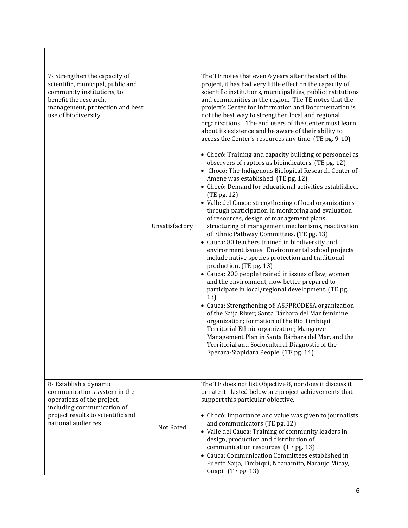| 7- Strengthen the capacity of<br>scientific, municipal, public and<br>community institutions, to<br>benefit the research,<br>management, protection and best<br>use of biodiversity. | Unsatisfactory | The TE notes that even 6 years after the start of the<br>project, it has had very little effect on the capacity of<br>scientific institutions, municipalities, public institutions<br>and communities in the region. The TE notes that the<br>project's Center for Information and Documentation is<br>not the best way to strengthen local and regional<br>organizations. The end users of the Center must learn<br>about its existence and be aware of their ability to<br>access the Center's resources any time. (TE pg. 9-10)<br>• Chocó: Training and capacity building of personnel as<br>observers of raptors as bioindicators. (TE pg. 12)<br>• Chocó: The Indigenous Biological Research Center of<br>Amené was established. (TE pg. 12)<br>• Chocó: Demand for educational activities established.<br>(TE pg. 12)<br>· Valle del Cauca: strengthening of local organizations<br>through participation in monitoring and evaluation<br>of resources, design of management plans,<br>structuring of management mechanisms, reactivation<br>of Ethnic Pathway Committees. (TE pg. 13)<br>• Cauca: 80 teachers trained in biodiversity and<br>environment issues. Environmental school projects<br>include native species protection and traditional<br>production. (TE pg. 13)<br>• Cauca: 200 people trained in issues of law, women<br>and the environment, now better prepared to<br>participate in local/regional development. (TE pg.<br>13)<br>• Cauca: Strengthening of: ASPPRODESA organization<br>of the Saija River; Santa Bárbara del Mar feminine<br>organization; formation of the Rio Timbiquí<br>Territorial Ethnic organization; Mangrove<br>Management Plan in Santa Bárbara del Mar, and the<br>Territorial and Sociocultural Diagnostic of the<br>Eperara-Siapidara People. (TE pg. 14) |
|--------------------------------------------------------------------------------------------------------------------------------------------------------------------------------------|----------------|--------------------------------------------------------------------------------------------------------------------------------------------------------------------------------------------------------------------------------------------------------------------------------------------------------------------------------------------------------------------------------------------------------------------------------------------------------------------------------------------------------------------------------------------------------------------------------------------------------------------------------------------------------------------------------------------------------------------------------------------------------------------------------------------------------------------------------------------------------------------------------------------------------------------------------------------------------------------------------------------------------------------------------------------------------------------------------------------------------------------------------------------------------------------------------------------------------------------------------------------------------------------------------------------------------------------------------------------------------------------------------------------------------------------------------------------------------------------------------------------------------------------------------------------------------------------------------------------------------------------------------------------------------------------------------------------------------------------------------------------------------------------------------------------------------------------|
| 8- Establish a dynamic<br>communications system in the<br>operations of the project,<br>including communication of<br>project results to scientific and<br>national audiences.       | Not Rated      | The TE does not list Objective 8, nor does it discuss it<br>or rate it. Listed below are project achievements that<br>support this particular objective.<br>• Chocó: Importance and value was given to journalists<br>and communicators (TE pg. 12)<br>• Valle del Cauca: Training of community leaders in<br>design, production and distribution of<br>communication resources. (TE pg. 13)<br>• Cauca: Communication Committees established in                                                                                                                                                                                                                                                                                                                                                                                                                                                                                                                                                                                                                                                                                                                                                                                                                                                                                                                                                                                                                                                                                                                                                                                                                                                                                                                                                                   |
|                                                                                                                                                                                      |                | Puerto Saija, Timbiquí, Noanamito, Naranjo Micay,<br>Guapi. (TE pg. 13)                                                                                                                                                                                                                                                                                                                                                                                                                                                                                                                                                                                                                                                                                                                                                                                                                                                                                                                                                                                                                                                                                                                                                                                                                                                                                                                                                                                                                                                                                                                                                                                                                                                                                                                                            |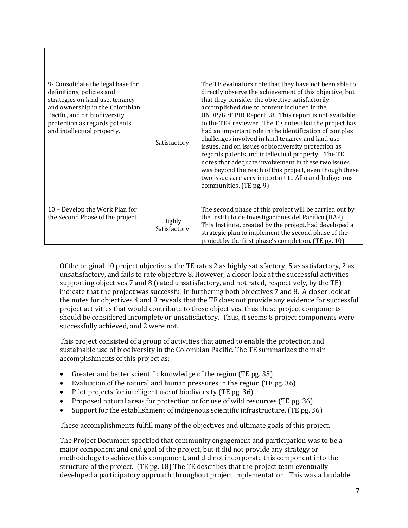| 9- Consolidate the legal base for<br>definitions, policies and<br>strategies on land use, tenancy<br>and ownership in the Colombian<br>Pacific, and on biodiversity<br>protection as regards patents<br>and intellectual property. | Satisfactory           | The TE evaluators note that they have not been able to<br>directly observe the achievement of this objective, but<br>that they consider the objective satisfactorily<br>accomplished due to content included in the<br>UNDP/GEF PIR Report 98. This report is not available<br>to the TER reviewer. The TE notes that the project has<br>had an important role in the identification of complex<br>challenges involved in land tenancy and land use<br>issues, and on issues of biodiversity protection as<br>regards patents and intellectual property. The TE<br>notes that adequate involvement in these two issues<br>was beyond the reach of this project, even though these<br>two issues are very important to Afro and Indigenous<br>communities. (TE pg. 9) |
|------------------------------------------------------------------------------------------------------------------------------------------------------------------------------------------------------------------------------------|------------------------|----------------------------------------------------------------------------------------------------------------------------------------------------------------------------------------------------------------------------------------------------------------------------------------------------------------------------------------------------------------------------------------------------------------------------------------------------------------------------------------------------------------------------------------------------------------------------------------------------------------------------------------------------------------------------------------------------------------------------------------------------------------------|
| 10 - Develop the Work Plan for<br>the Second Phase of the project.                                                                                                                                                                 | Highly<br>Satisfactory | The second phase of this project will be carried out by<br>the Instituto de Investigaciones del Pacífico (IIAP).<br>This Institute, created by the project, had developed a<br>strategic plan to implement the second phase of the<br>project by the first phase's completion. (TE pg. 10)                                                                                                                                                                                                                                                                                                                                                                                                                                                                           |

Of the original 10 project objectives, the TE rates 2 as highly satisfactory, 5 as satisfactory, 2 as unsatisfactory, and fails to rate objective 8. However, a closer look at the successful activities supporting objectives 7 and 8 (rated unsatisfactory, and not rated, respectively, by the TE) indicate that the project was successful in furthering both objectives 7 and 8. A closer look at the notes for objectives 4 and 9 reveals that the TE does not provide any evidence for successful project activities that would contribute to these objectives, thus these project components should be considered incomplete or unsatisfactory. Thus, it seems 8 project components were successfully achieved, and 2 were not.

This project consisted of a group of activities that aimed to enable the protection and sustainable use of biodiversity in the Colombian Pacific. The TE summarizes the main accomplishments of this project as:

- Greater and better scientific knowledge of the region (TE pg. 35)
- Evaluation of the natural and human pressures in the region (TE pg. 36)
- Pilot projects for intelligent use of biodiversity (TE pg. 36)
- Proposed natural areas for protection or for use of wild resources (TE pg. 36)
- Support for the establishment of indigenous scientific infrastructure. (TE pg. 36)

These accomplishments fulfill many of the objectives and ultimate goals of this project.

The Project Document specified that community engagement and participation was to be a major component and end goal of the project, but it did not provide any strategy or methodology to achieve this component, and did not incorporate this component into the structure of the project. (TE pg. 18) The TE describes that the project team eventually developed a participatory approach throughout project implementation. This was a laudable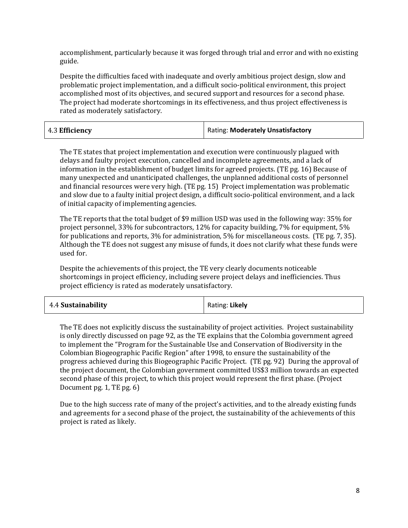accomplishment, particularly because it was forged through trial and error and with no existing guide.

Despite the difficulties faced with inadequate and overly ambitious project design, slow and problematic project implementation, and a difficult socio-political environment, this project accomplished most of its objectives, and secured support and resources for a second phase. The project had moderate shortcomings in its effectiveness, and thus project effectiveness is rated as moderately satisfactory.

| 4.3 Efficiency | <b>Rating: Moderately Unsatisfactory</b> |
|----------------|------------------------------------------|
|----------------|------------------------------------------|

The TE states that project implementation and execution were continuously plagued with delays and faulty project execution, cancelled and incomplete agreements, and a lack of information in the establishment of budget limits for agreed projects. (TE pg. 16) Because of many unexpected and unanticipated challenges, the unplanned additional costs of personnel and financial resources were very high. (TE pg. 15) Project implementation was problematic and slow due to a faulty initial project design, a difficult socio-political environment, and a lack of initial capacity of implementing agencies.

The TE reports that the total budget of \$9 million USD was used in the following way: 35% for project personnel, 33% for subcontractors, 12% for capacity building, 7% for equipment, 5% for publications and reports, 3% for administration, 5% for miscellaneous costs. (TE pg. 7, 35). Although the TE does not suggest any misuse of funds, it does not clarify what these funds were used for.

Despite the achievements of this project, the TE very clearly documents noticeable shortcomings in project efficiency, including severe project delays and inefficiencies. Thus project efficiency is rated as moderately unsatisfactory.

| 4.4 Sustainability | Rating: Likely |
|--------------------|----------------|
|--------------------|----------------|

The TE does not explicitly discuss the sustainability of project activities. Project sustainability is only directly discussed on page 92, as the TE explains that the Colombia government agreed to implement the "Program for the Sustainable Use and Conservation of Biodiversity in the Colombian Biogeographic Pacific Region" after 1998, to ensure the sustainability of the progress achieved during this Biogeographic Pacific Project. (TE pg. 92) During the approval of the project document, the Colombian government committed US\$3 million towards an expected second phase of this project, to which this project would represent the first phase. (Project Document pg. 1, TE pg. 6)

Due to the high success rate of many of the project's activities, and to the already existing funds and agreements for a second phase of the project, the sustainability of the achievements of this project is rated as likely.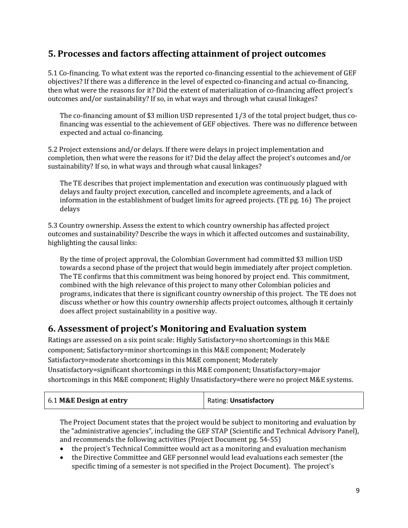# **5. Processes and factors affecting attainment of project outcomes**

5.1 Co-financing. To what extent was the reported co-financing essential to the achievement of GEF objectives? If there was a difference in the level of expected co-financing and actual co-financing, then what were the reasons for it? Did the extent of materialization of co-financing affect project's outcomes and/or sustainability? If so, in what ways and through what causal linkages?

The co-financing amount of \$3 million USD represented 1/3 of the total project budget, thus cofinancing was essential to the achievement of GEF objectives. There was no difference between expected and actual co-financing.

5.2 Project extensions and/or delays. If there were delays in project implementation and completion, then what were the reasons for it? Did the delay affect the project's outcomes and/or sustainability? If so, in what ways and through what causal linkages?

The TE describes that project implementation and execution was continuously plagued with delays and faulty project execution, cancelled and incomplete agreements, and a lack of information in the establishment of budget limits for agreed projects. (TE pg. 16) The project delays

5.3 Country ownership. Assess the extent to which country ownership has affected project outcomes and sustainability? Describe the ways in which it affected outcomes and sustainability, highlighting the causal links:

By the time of project approval, the Colombian Government had committed \$3 million USD towards a second phase of the project that would begin immediately after project completion. The TE confirms that this commitment was being honored by project end. This commitment, combined with the high relevance of this project to many other Colombian policies and programs, indicates that there is significant country ownership of this project. The TE does not discuss whether or how this country ownership affects project outcomes, although it certainly does affect project sustainability in a positive way.

### **6. Assessment of project's Monitoring and Evaluation system**

Ratings are assessed on a six point scale: Highly Satisfactory=no shortcomings in this M&E component; Satisfactory=minor shortcomings in this M&E component; Moderately Satisfactory=moderate shortcomings in this M&E component; Moderately Unsatisfactory=significant shortcomings in this M&E component; Unsatisfactory=major shortcomings in this M&E component; Highly Unsatisfactory=there were no project M&E systems.

| 6.1 M&E Design at entry | <b>Rating: Unsatisfactory</b> |
|-------------------------|-------------------------------|
|-------------------------|-------------------------------|

The Project Document states that the project would be subject to monitoring and evaluation by the "administrative agencies", including the GEF STAP (Scientific and Technical Advisory Panel), and recommends the following activities (Project Document pg. 54-55)

- the project's Technical Committee would act as a monitoring and evaluation mechanism
- the Directive Committee and GEF personnel would lead evaluations each semester (the specific timing of a semester is not specified in the Project Document). The project's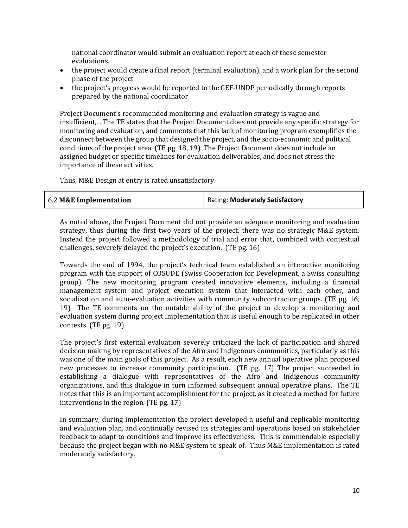national coordinator would submit an evaluation report at each of these semester evaluations.

- the project would create a final report (terminal evaluation), and a work plan for the second phase of the project
- the project's progress would be reported to the GEF-UNDP periodically through reports prepared by the national coordinator

Project Document's recommended monitoring and evaluation strategy is vague and insufficient,. . The TE states that the Project Document does not provide any specific strategy for monitoring and evaluation, and comments that this lack of monitoring program exemplifies the disconnect between the group that designed the project, and the socio-economic and political conditions of the project area. (TE pg. 18, 19) The Project Document does not include an assigned budget or specific timelines for evaluation deliverables, and does not stress the importance of these activities.

Thus, M&E Design at entry is rated unsatisfactory.

| 6.2 M&E Implementation | Rating: Moderately Satisfactory |
|------------------------|---------------------------------|
|------------------------|---------------------------------|

As noted above, the Project Document did not provide an adequate monitoring and evaluation strategy, thus during the first two years of the project, there was no strategic M&E system. Instead the project followed a methodology of trial and error that, combined with contextual challenges, severely delayed the project's execution. (TE pg. 16)

Towards the end of 1994, the project's technical team established an interactive monitoring program with the support of COSUDE (Swiss Cooperation for Development, a Swiss consulting group). The new monitoring program created innovative elements, including a financial management system and project execution system that interacted with each other, and socialization and auto-evaluation activities with community subcontractor groups. (TE pg. 16, 19) The TE comments on the notable ability of the project to develop a monitoring and evaluation system during project implementation that is useful enough to be replicated in other contexts. (TE pg. 19)

The project's first external evaluation severely criticized the lack of participation and shared decision making by representatives of the Afro and Indigenous communities, particularly as this was one of the main goals of this project. As a result, each new annual operative plan proposed new processes to increase community participation. (TE pg. 17) The project succeeded in establishing a dialogue with representatives of the Afro and Indigenous community organizations, and this dialogue in turn informed subsequent annual operative plans. The TE notes that this is an important accomplishment for the project, as it created a method for future interventions in the region. (TE pg. 17)

In summary, during implementation the project developed a useful and replicable monitoring and evaluation plan, and continually revised its strategies and operations based on stakeholder feedback to adapt to conditions and improve its effectiveness. This is commendable especially because the project began with no M&E system to speak of. Thus M&E implementation is rated moderately satisfactory.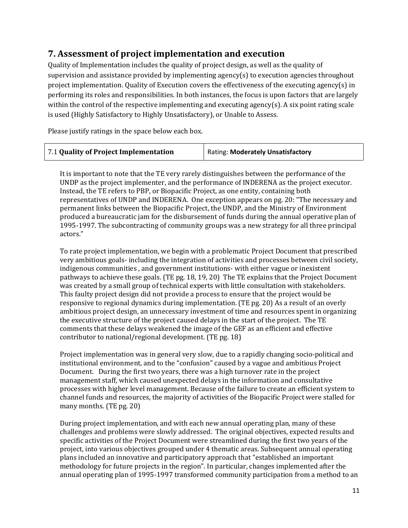# **7. Assessment of project implementation and execution**

Quality of Implementation includes the quality of project design, as well as the quality of supervision and assistance provided by implementing agency(s) to execution agencies throughout project implementation. Quality of Execution covers the effectiveness of the executing agency(s) in performing its roles and responsibilities. In both instances, the focus is upon factors that are largely within the control of the respective implementing and executing agency(s). A six point rating scale is used (Highly Satisfactory to Highly Unsatisfactory), or Unable to Assess.

Please justify ratings in the space below each box.

| 7.1 Quality of Project Implementation | Rating: Moderately Unsatisfactory |
|---------------------------------------|-----------------------------------|
|---------------------------------------|-----------------------------------|

It is important to note that the TE very rarely distinguishes between the performance of the UNDP as the project implementer, and the performance of INDERENA as the project executor. Instead, the TE refers to PBP, or Biopacific Project, as one entity, containing both representatives of UNDP and INDERENA. One exception appears on pg. 20: "The necessary and permanent links between the Biopacific Project, the UNDP, and the Ministry of Environment produced a bureaucratic jam for the disbursement of funds during the annual operative plan of 1995-1997. The subcontracting of community groups was a new strategy for all three principal actors."

To rate project implementation, we begin with a problematic Project Document that prescribed very ambitious goals- including the integration of activities and processes between civil society, indigenous communities , and government institutions- with either vague or inexistent pathways to achieve these goals. (TE pg. 18, 19, 20) The TE explains that the Project Document was created by a small group of technical experts with little consultation with stakeholders. This faulty project design did not provide a process to ensure that the project would be responsive to regional dynamics during implementation. (TE pg. 20) As a result of an overly ambitious project design, an unnecessary investment of time and resources spent in organizing the executive structure of the project caused delays in the start of the project. The TE comments that these delays weakened the image of the GEF as an efficient and effective contributor to national/regional development. (TE pg. 18)

Project implementation was in general very slow, due to a rapidly changing socio-political and institutional environment, and to the "confusion" caused by a vague and ambitious Project Document. During the first two years, there was a high turnover rate in the project management staff, which caused unexpected delays in the information and consultative processes with higher level management. Because of the failure to create an efficient system to channel funds and resources, the majority of activities of the Biopacific Project were stalled for many months. (TE pg. 20)

During project implementation, and with each new annual operating plan, many of these challenges and problems were slowly addressed. The original objectives, expected results and specific activities of the Project Document were streamlined during the first two years of the project, into various objectives grouped under 4 thematic areas. Subsequent annual operating plans included an innovative and participatory approach that "established an important methodology for future projects in the region". In particular, changes implemented after the annual operating plan of 1995-1997 transformed community participation from a method to an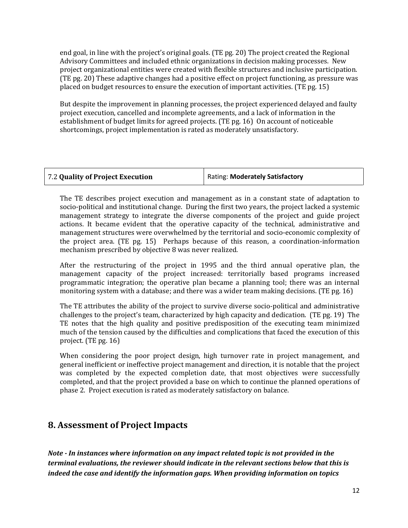end goal, in line with the project's original goals. (TE pg. 20) The project created the Regional Advisory Committees and included ethnic organizations in decision making processes. New project organizational entities were created with flexible structures and inclusive participation. (TE pg. 20) These adaptive changes had a positive effect on project functioning, as pressure was placed on budget resources to ensure the execution of important activities. (TE pg. 15)

But despite the improvement in planning processes, the project experienced delayed and faulty project execution, cancelled and incomplete agreements, and a lack of information in the establishment of budget limits for agreed projects. (TE pg. 16) On account of noticeable shortcomings, project implementation is rated as moderately unsatisfactory.

| 7.2 Quality of Project Execution | Rating: Moderately Satisfactory |
|----------------------------------|---------------------------------|
|----------------------------------|---------------------------------|

The TE describes project execution and management as in a constant state of adaptation to socio-political and institutional change. During the first two years, the project lacked a systemic management strategy to integrate the diverse components of the project and guide project actions. It became evident that the operative capacity of the technical, administrative and management structures were overwhelmed by the territorial and socio-economic complexity of the project area. (TE pg. 15) Perhaps because of this reason, a coordination-information mechanism prescribed by objective 8 was never realized.

After the restructuring of the project in 1995 and the third annual operative plan, the management capacity of the project increased: territorially based programs increased programmatic integration; the operative plan became a planning tool; there was an internal monitoring system with a database; and there was a wider team making decisions. (TE pg. 16)

The TE attributes the ability of the project to survive diverse socio-political and administrative challenges to the project's team, characterized by high capacity and dedication. (TE pg. 19) The TE notes that the high quality and positive predisposition of the executing team minimized much of the tension caused by the difficulties and complications that faced the execution of this project. (TE pg. 16)

When considering the poor project design, high turnover rate in project management, and general inefficient or ineffective project management and direction, it is notable that the project was completed by the expected completion date, that most objectives were successfully completed, and that the project provided a base on which to continue the planned operations of phase 2. Project execution is rated as moderately satisfactory on balance.

### **8. Assessment of Project Impacts**

*Note - In instances where information on any impact related topic is not provided in the terminal evaluations, the reviewer should indicate in the relevant sections below that this is indeed the case and identify the information gaps. When providing information on topics*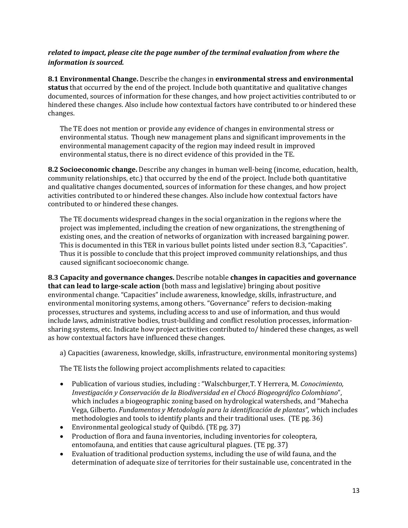#### *related to impact, please cite the page number of the terminal evaluation from where the information is sourced.*

**8.1 Environmental Change.** Describe the changes in **environmental stress and environmental status** that occurred by the end of the project. Include both quantitative and qualitative changes documented, sources of information for these changes, and how project activities contributed to or hindered these changes. Also include how contextual factors have contributed to or hindered these changes.

The TE does not mention or provide any evidence of changes in environmental stress or environmental status. Though new management plans and significant improvements in the environmental management capacity of the region may indeed result in improved environmental status, there is no direct evidence of this provided in the TE.

**8.2 Socioeconomic change.** Describe any changes in human well-being (income, education, health, community relationships, etc.) that occurred by the end of the project. Include both quantitative and qualitative changes documented, sources of information for these changes, and how project activities contributed to or hindered these changes. Also include how contextual factors have contributed to or hindered these changes.

The TE documents widespread changes in the social organization in the regions where the project was implemented, including the creation of new organizations, the strengthening of existing ones, and the creation of networks of organization with increased bargaining power. This is documented in this TER in various bullet points listed under section 8.3, "Capacities". Thus it is possible to conclude that this project improved community relationships, and thus caused significant socioeconomic change.

**8.3 Capacity and governance changes.** Describe notable **changes in capacities and governance that can lead to large-scale action** (both mass and legislative) bringing about positive environmental change. "Capacities" include awareness, knowledge, skills, infrastructure, and environmental monitoring systems, among others. "Governance" refers to decision-making processes, structures and systems, including access to and use of information, and thus would include laws, administrative bodies, trust-building and conflict resolution processes, informationsharing systems, etc. Indicate how project activities contributed to/ hindered these changes, as well as how contextual factors have influenced these changes.

a) Capacities (awareness, knowledge, skills, infrastructure, environmental monitoring systems)

The TE lists the following project accomplishments related to capacities:

- Publication of various studies, including : "Walschburger,T. Y Herrera, M. *Conocimiento, Investigación y Conservación de la Biodiversidad en el Chocó Biogeográfico Colombiano*", which includes a biogeographic zoning based on hydrological watersheds, and "Mahecha Vega, Gilberto. *Fundamentos y Metodología para la identificación de plantas",* which includes methodologies and tools to identify plants and their traditional uses. (TE pg. 36)
- Environmental geological study of Quibdó. (TE pg. 37)
- Production of flora and fauna inventories, including inventories for coleoptera, entomofauna, and entities that cause agricultural plagues. (TE pg. 37)
- Evaluation of traditional production systems, including the use of wild fauna, and the determination of adequate size of territories for their sustainable use, concentrated in the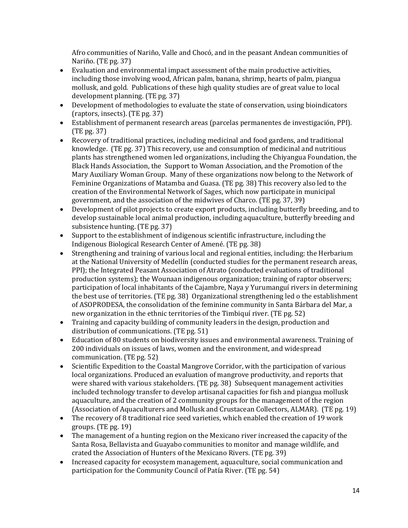Afro communities of Nariño, Valle and Chocó, and in the peasant Andean communities of Nariño. (TE pg. 37)

- Evaluation and environmental impact assessment of the main productive activities, including those involving wood, African palm, banana, shrimp, hearts of palm, piangua mollusk, and gold. Publications of these high quality studies are of great value to local development planning. (TE pg. 37)
- Development of methodologies to evaluate the state of conservation, using bioindicators (raptors, insects). (TE pg. 37)
- Establishment of permanent research areas (parcelas permanentes de investigación, PPI). (TE pg. 37)
- Recovery of traditional practices, including medicinal and food gardens, and traditional knowledge. (TE pg. 37) This recovery, use and consumption of medicinal and nutritious plants has strengthened women led organizations, including the Chiyangua Foundation, the Black Hands Association, the Support to Woman Association, and the Promotion of the Mary Auxiliary Woman Group. Many of these organizations now belong to the Network of Feminine Organizations of Matamba and Guasa. (TE pg. 38) This recovery also led to the creation of the Environmental Network of Sages, which now participate in municipal government, and the association of the midwives of Charco. (TE pg. 37, 39)
- Development of pilot projects to create export products, including butterfly breeding, and to develop sustainable local animal production, including aquaculture, butterfly breeding and subsistence hunting. (TE pg. 37)
- Support to the establishment of indigenous scientific infrastructure, including the Indigenous Biological Research Center of Amené. (TE pg. 38)
- Strengthening and training of various local and regional entities, including: the Herbarium at the National University of Medellín (conducted studies for the permanent research areas, PPI); the Integrated Peasant Association of Atrato (conducted evaluations of traditional production systems); the Wounaan indigenous organization; training of raptor observers; participation of local inhabitants of the Cajambre, Naya y Yurumanguí rivers in determining the best use of territories. (TE pg. 38) Organizational strengthening led o the establishment of ASOPRODESA, the consolidation of the feminine community in Santa Bárbara del Mar, a new organization in the ethnic territories of the Timbiquí river. (TE pg. 52)
- Training and capacity building of community leaders in the design, production and distribution of communications. (TE pg. 51)
- Education of 80 students on biodiversity issues and environmental awareness. Training of 200 individuals on issues of laws, women and the environment, and widespread communication. (TE pg. 52)
- Scientific Expedition to the Coastal Mangrove Corridor, with the participation of various local organizations. Produced an evaluation of mangrove productivity, and reports that were shared with various stakeholders. (TE pg. 38) Subsequent management activities included technology transfer to develop artisanal capacities for fish and piangua mollusk aquaculture, and the creation of 2 community groups for the management of the region (Association of Aquaculturers and Mollusk and Crustacean Collectors, ALMAR). (TE pg. 19)
- The recovery of 8 traditional rice seed varieties, which enabled the creation of 19 work groups. (TE pg. 19)
- The management of a hunting region on the Mexicano river increased the capacity of the Santa Rosa, Bellavista and Guayabo communities to monitor and manage wildlife, and crated the Association of Hunters of the Mexicano Rivers. (TE pg. 39)
- Increased capacity for ecosystem management, aquaculture, social communication and participation for the Community Council of Patía River. (TE pg. 54)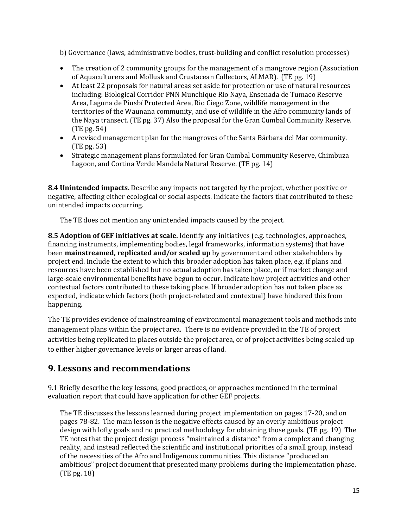b) Governance (laws, administrative bodies, trust-building and conflict resolution processes)

- The creation of 2 community groups for the management of a mangrove region (Association of Aquaculturers and Mollusk and Crustacean Collectors, ALMAR). (TE pg. 19)
- At least 22 proposals for natural areas set aside for protection or use of natural resources including: Biological Corridor PNN Munchique Rio Naya, Ensenada de Tumaco Reserve Area, Laguna de Piusbí Protected Area, Rio Ciego Zone, wildlife management in the territories of the Waunana community, and use of wildlife in the Afro community lands of the Naya transect. (TE pg. 37) Also the proposal for the Gran Cumbal Community Reserve. (TE pg. 54)
- A revised management plan for the mangroves of the Santa Bárbara del Mar community. (TE pg. 53)
- Strategic management plans formulated for Gran Cumbal Community Reserve, Chimbuza Lagoon, and Cortina Verde Mandela Natural Reserve. (TE pg. 14)

**8.4 Unintended impacts.** Describe any impacts not targeted by the project, whether positive or negative, affecting either ecological or social aspects. Indicate the factors that contributed to these unintended impacts occurring.

The TE does not mention any unintended impacts caused by the project.

**8.5 Adoption of GEF initiatives at scale.** Identify any initiatives (e.g. technologies, approaches, financing instruments, implementing bodies, legal frameworks, information systems) that have been **mainstreamed, replicated and/or scaled up** by government and other stakeholders by project end. Include the extent to which this broader adoption has taken place, e.g. if plans and resources have been established but no actual adoption has taken place, or if market change and large-scale environmental benefits have begun to occur. Indicate how project activities and other contextual factors contributed to these taking place. If broader adoption has not taken place as expected, indicate which factors (both project-related and contextual) have hindered this from happening.

The TE provides evidence of mainstreaming of environmental management tools and methods into management plans within the project area. There is no evidence provided in the TE of project activities being replicated in places outside the project area, or of project activities being scaled up to either higher governance levels or larger areas of land.

# **9. Lessons and recommendations**

9.1 Briefly describe the key lessons, good practices, or approaches mentioned in the terminal evaluation report that could have application for other GEF projects.

The TE discusses the lessons learned during project implementation on pages 17-20, and on pages 78-82. The main lesson is the negative effects caused by an overly ambitious project design with lofty goals and no practical methodology for obtaining those goals. (TE pg. 19) The TE notes that the project design process "maintained a distance" from a complex and changing reality, and instead reflected the scientific and institutional priorities of a small group, instead of the necessities of the Afro and Indigenous communities. This distance "produced an ambitious" project document that presented many problems during the implementation phase. (TE pg. 18)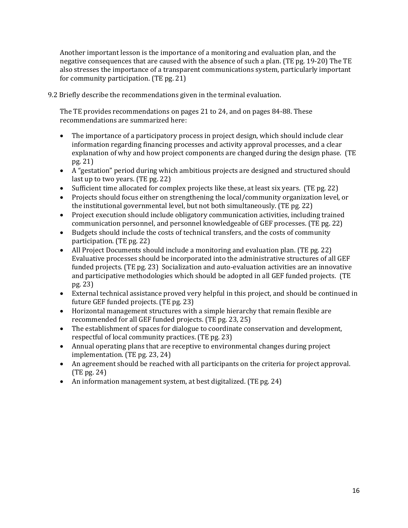Another important lesson is the importance of a monitoring and evaluation plan, and the negative consequences that are caused with the absence of such a plan. (TE pg. 19-20) The TE also stresses the importance of a transparent communications system, particularly important for community participation. (TE pg. 21)

9.2 Briefly describe the recommendations given in the terminal evaluation.

The TE provides recommendations on pages 21 to 24, and on pages 84-88. These recommendations are summarized here:

- The importance of a participatory process in project design, which should include clear information regarding financing processes and activity approval processes, and a clear explanation of why and how project components are changed during the design phase. (TE pg. 21)
- A "gestation" period during which ambitious projects are designed and structured should last up to two years. (TE pg. 22)
- Sufficient time allocated for complex projects like these, at least six years. (TE pg. 22)
- Projects should focus either on strengthening the local/community organization level, or the institutional governmental level, but not both simultaneously. (TE pg. 22)
- Project execution should include obligatory communication activities, including trained communication personnel, and personnel knowledgeable of GEF processes. (TE pg. 22)
- Budgets should include the costs of technical transfers, and the costs of community participation. (TE pg. 22)
- All Project Documents should include a monitoring and evaluation plan. (TE pg. 22) Evaluative processes should be incorporated into the administrative structures of all GEF funded projects. (TE pg. 23) Socialization and auto-evaluation activities are an innovative and participative methodologies which should be adopted in all GEF funded projects. (TE pg. 23)
- External technical assistance proved very helpful in this project, and should be continued in future GEF funded projects. (TE pg. 23)
- Horizontal management structures with a simple hierarchy that remain flexible are recommended for all GEF funded projects. (TE pg. 23, 25)
- The establishment of spaces for dialogue to coordinate conservation and development, respectful of local community practices. (TE pg. 23)
- Annual operating plans that are receptive to environmental changes during project implementation. (TE pg. 23, 24)
- An agreement should be reached with all participants on the criteria for project approval. (TE pg. 24)
- An information management system, at best digitalized. (TE pg. 24)